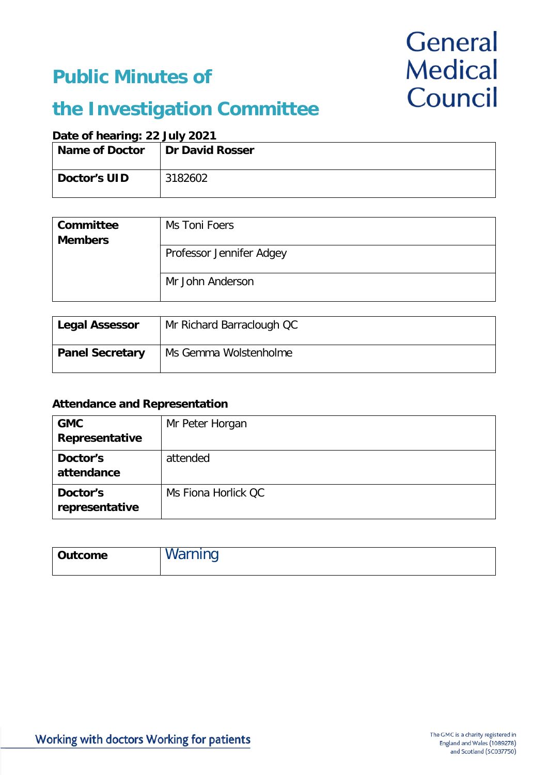### **Public Minutes of**

# General **Medical** Council

## **the Investigation Committee**

### **Date of hearing: 22 July 2021**

| <b>Name of Doctor</b> | <b>Dr David Rosser</b> |
|-----------------------|------------------------|
| Doctor's UID          | 3182602                |

| Committee<br><b>Members</b> | Ms Toni Foers            |
|-----------------------------|--------------------------|
|                             | Professor Jennifer Adgey |
|                             | Mr John Anderson         |

| Legal Assessor         | Mr Richard Barraclough QC |
|------------------------|---------------------------|
| <b>Panel Secretary</b> | Ms Gemma Wolstenholme     |

### **Attendance and Representation**

| <b>GMC</b><br>Representative | Mr Peter Horgan     |
|------------------------------|---------------------|
| Doctor's<br>attendance       | attended            |
| Doctor's<br>representative   | Ms Fiona Horlick OC |

| Outcome | Varning |
|---------|---------|
|         |         |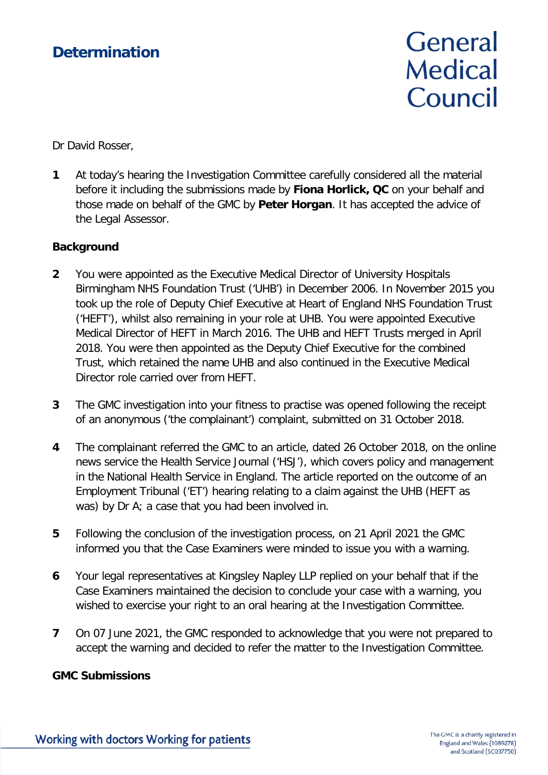### **Determination**

# General **Medical** Council

Dr David Rosser,

**1** At today's hearing the Investigation Committee carefully considered all the material before it including the submissions made by **Fiona Horlick, QC** on your behalf and those made on behalf of the GMC by **Peter Horgan**. It has accepted the advice of the Legal Assessor.

#### **Background**

- **2** You were appointed as the Executive Medical Director of University Hospitals Birmingham NHS Foundation Trust ('UHB') in December 2006. In November 2015 you took up the role of Deputy Chief Executive at Heart of England NHS Foundation Trust ('HEFT'), whilst also remaining in your role at UHB. You were appointed Executive Medical Director of HEFT in March 2016. The UHB and HEFT Trusts merged in April 2018. You were then appointed as the Deputy Chief Executive for the combined Trust, which retained the name UHB and also continued in the Executive Medical Director role carried over from HEFT.
- **3** The GMC investigation into your fitness to practise was opened following the receipt of an anonymous ('the complainant') complaint, submitted on 31 October 2018.
- **4** The complainant referred the GMC to an article, dated 26 October 2018, on the online news service the Health Service Journal ('HSJ'), which covers policy and management in the National Health Service in England. The article reported on the outcome of an Employment Tribunal ('ET') hearing relating to a claim against the UHB (HEFT as was) by Dr A; a case that you had been involved in.
- **5** Following the conclusion of the investigation process, on 21 April 2021 the GMC informed you that the Case Examiners were minded to issue you with a warning.
- **6** Your legal representatives at Kingsley Napley LLP replied on your behalf that if the Case Examiners maintained the decision to conclude your case with a warning, you wished to exercise your right to an oral hearing at the Investigation Committee.
- **7** On 07 June 2021, the GMC responded to acknowledge that you were not prepared to accept the warning and decided to refer the matter to the Investigation Committee.

### **GMC Submissions**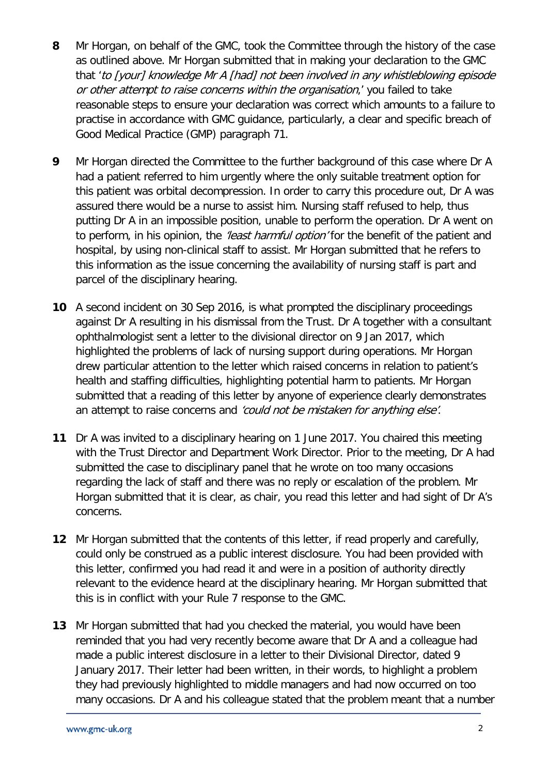- **8** Mr Horgan, on behalf of the GMC, took the Committee through the history of the case as outlined above. Mr Horgan submitted that in making your declaration to the GMC that 'to [your] knowledge Mr A [had] not been involved in any whistleblowing episode or other attempt to raise concerns within the organisation,' you failed to take reasonable steps to ensure your declaration was correct which amounts to a failure to practise in accordance with GMC guidance, particularly, a clear and specific breach of Good Medical Practice (GMP) paragraph 71.
- **9** Mr Horgan directed the Committee to the further background of this case where Dr A had a patient referred to him urgently where the only suitable treatment option for this patient was orbital decompression. In order to carry this procedure out, Dr A was assured there would be a nurse to assist him. Nursing staff refused to help, thus putting Dr A in an impossible position, unable to perform the operation. Dr A went on to perform, in his opinion, the *'least harmful option'* for the benefit of the patient and hospital, by using non-clinical staff to assist. Mr Horgan submitted that he refers to this information as the issue concerning the availability of nursing staff is part and parcel of the disciplinary hearing.
- **10** A second incident on 30 Sep 2016, is what prompted the disciplinary proceedings against Dr A resulting in his dismissal from the Trust. Dr A together with a consultant ophthalmologist sent a letter to the divisional director on 9 Jan 2017, which highlighted the problems of lack of nursing support during operations. Mr Horgan drew particular attention to the letter which raised concerns in relation to patient's health and staffing difficulties, highlighting potential harm to patients. Mr Horgan submitted that a reading of this letter by anyone of experience clearly demonstrates an attempt to raise concerns and 'could not be mistaken for anything else'.
- **11** Dr A was invited to a disciplinary hearing on 1 June 2017. You chaired this meeting with the Trust Director and Department Work Director. Prior to the meeting, Dr A had submitted the case to disciplinary panel that he wrote on too many occasions regarding the lack of staff and there was no reply or escalation of the problem. Mr Horgan submitted that it is clear, as chair, you read this letter and had sight of Dr A's concerns.
- **12** Mr Horgan submitted that the contents of this letter, if read properly and carefully, could only be construed as a public interest disclosure. You had been provided with this letter, confirmed you had read it and were in a position of authority directly relevant to the evidence heard at the disciplinary hearing. Mr Horgan submitted that this is in conflict with your Rule 7 response to the GMC.
- **13** Mr Horgan submitted that had you checked the material, you would have been reminded that you had very recently become aware that Dr A and a colleague had made a public interest disclosure in a letter to their Divisional Director, dated 9 January 2017. Their letter had been written, in their words, to highlight a problem they had previously highlighted to middle managers and had now occurred on too many occasions. Dr A and his colleague stated that the problem meant that a number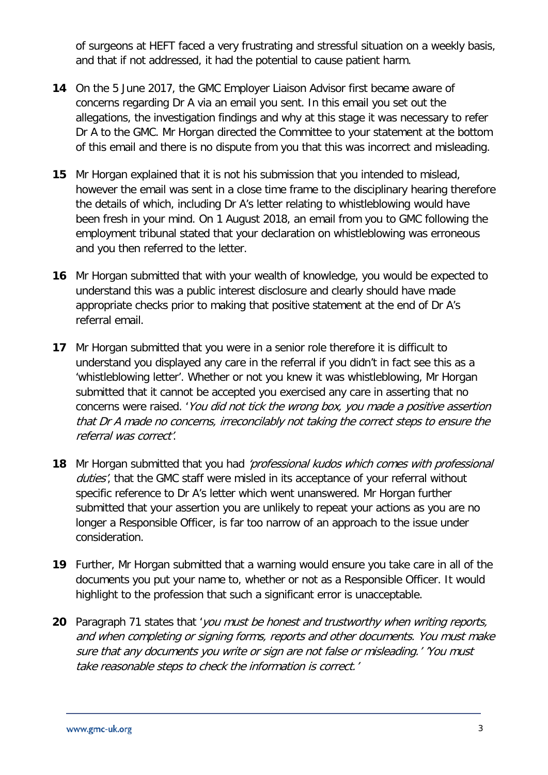of surgeons at HEFT faced a very frustrating and stressful situation on a weekly basis, and that if not addressed, it had the potential to cause patient harm.

- **14** On the 5 June 2017, the GMC Employer Liaison Advisor first became aware of concerns regarding Dr A via an email you sent. In this email you set out the allegations, the investigation findings and why at this stage it was necessary to refer Dr A to the GMC. Mr Horgan directed the Committee to your statement at the bottom of this email and there is no dispute from you that this was incorrect and misleading.
- **15** Mr Horgan explained that it is not his submission that you intended to mislead, however the email was sent in a close time frame to the disciplinary hearing therefore the details of which, including Dr A's letter relating to whistleblowing would have been fresh in your mind. On 1 August 2018, an email from you to GMC following the employment tribunal stated that your declaration on whistleblowing was erroneous and you then referred to the letter.
- **16** Mr Horgan submitted that with your wealth of knowledge, you would be expected to understand this was a public interest disclosure and clearly should have made appropriate checks prior to making that positive statement at the end of Dr A's referral email.
- **17** Mr Horgan submitted that you were in a senior role therefore it is difficult to understand you displayed any care in the referral if you didn't in fact see this as a 'whistleblowing letter'. Whether or not you knew it was whistleblowing, Mr Horgan submitted that it cannot be accepted you exercised any care in asserting that no concerns were raised. 'You did not tick the wrong box, you made a positive assertion that Dr A made no concerns, irreconcilably not taking the correct steps to ensure the referral was correct'.
- **18** Mr Horgan submitted that you had 'professional kudos which comes with professional duties', that the GMC staff were misled in its acceptance of your referral without specific reference to Dr A's letter which went unanswered. Mr Horgan further submitted that your assertion you are unlikely to repeat your actions as you are no longer a Responsible Officer, is far too narrow of an approach to the issue under consideration.
- **19** Further, Mr Horgan submitted that a warning would ensure you take care in all of the documents you put your name to, whether or not as a Responsible Officer. It would highlight to the profession that such a significant error is unacceptable.
- **20** Paragraph 71 states that 'you must be honest and trustworthy when writing reports, and when completing or signing forms, reports and other documents. You must make sure that any documents you write or sign are not false or misleading.' 'You must take reasonable steps to check the information is correct.'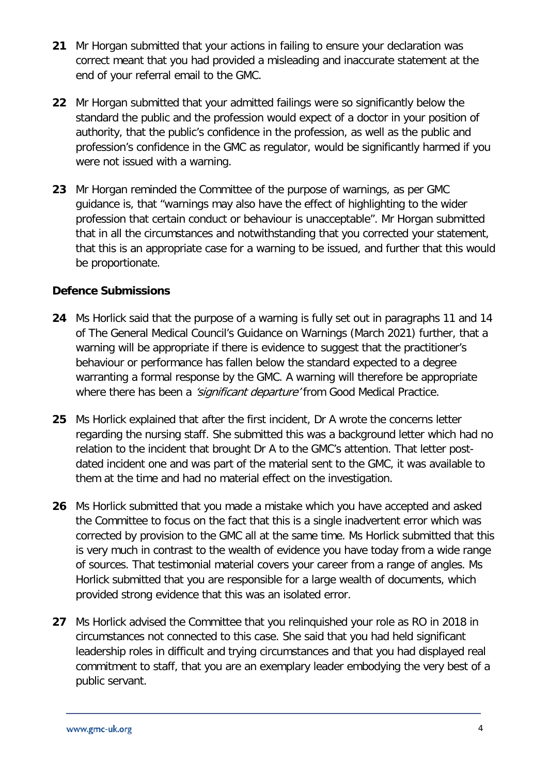- **21** Mr Horgan submitted that your actions in failing to ensure your declaration was correct meant that you had provided a misleading and inaccurate statement at the end of your referral email to the GMC.
- **22** Mr Horgan submitted that your admitted failings were so significantly below the standard the public and the profession would expect of a doctor in your position of authority, that the public's confidence in the profession, as well as the public and profession's confidence in the GMC as regulator, would be significantly harmed if you were not issued with a warning.
- **23** Mr Horgan reminded the Committee of the purpose of warnings, as per GMC guidance is, that "warnings may also have the effect of highlighting to the wider profession that certain conduct or behaviour is unacceptable". Mr Horgan submitted that in all the circumstances and notwithstanding that you corrected your statement, that this is an appropriate case for a warning to be issued, and further that this would be proportionate.

### **Defence Submissions**

- **24** Ms Horlick said that the purpose of a warning is fully set out in paragraphs 11 and 14 of The General Medical Council's Guidance on Warnings (March 2021) further, that a warning will be appropriate if there is evidence to suggest that the practitioner's behaviour or performance has fallen below the standard expected to a degree warranting a formal response by the GMC. A warning will therefore be appropriate where there has been a *'significant departure'* from Good Medical Practice.
- **25** Ms Horlick explained that after the first incident, Dr A wrote the concerns letter regarding the nursing staff. She submitted this was a background letter which had no relation to the incident that brought Dr A to the GMC's attention. That letter postdated incident one and was part of the material sent to the GMC, it was available to them at the time and had no material effect on the investigation.
- **26** Ms Horlick submitted that you made a mistake which you have accepted and asked the Committee to focus on the fact that this is a single inadvertent error which was corrected by provision to the GMC all at the same time. Ms Horlick submitted that this is very much in contrast to the wealth of evidence you have today from a wide range of sources. That testimonial material covers your career from a range of angles. Ms Horlick submitted that you are responsible for a large wealth of documents, which provided strong evidence that this was an isolated error.
- **27** Ms Horlick advised the Committee that you relinquished your role as RO in 2018 in circumstances not connected to this case. She said that you had held significant leadership roles in difficult and trying circumstances and that you had displayed real commitment to staff, that you are an exemplary leader embodying the very best of a public servant.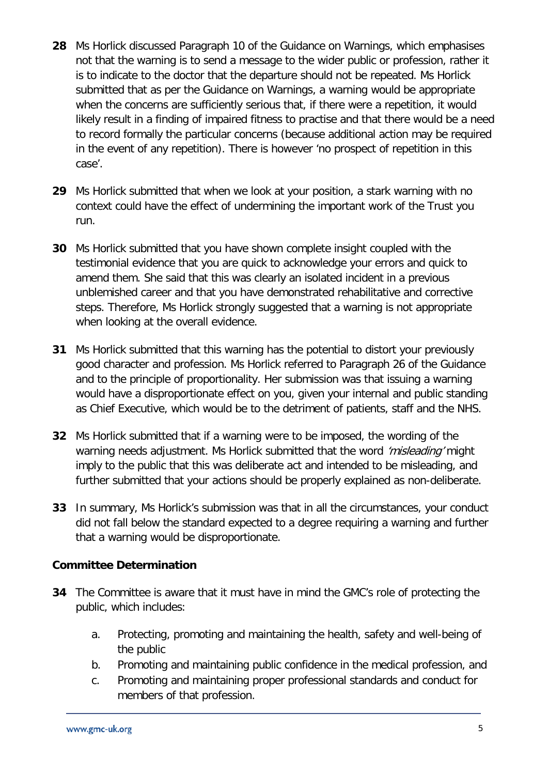- **28** Ms Horlick discussed Paragraph 10 of the Guidance on Warnings, which emphasises not that the warning is to send a message to the wider public or profession, rather it is to indicate to the doctor that the departure should not be repeated. Ms Horlick submitted that as per the Guidance on Warnings, a warning would be appropriate when the concerns are sufficiently serious that, if there were a repetition, it would likely result in a finding of impaired fitness to practise and that there would be a need to record formally the particular concerns (because additional action may be required in the event of any repetition). There is however 'no prospect of repetition in this case'.
- **29** Ms Horlick submitted that when we look at your position, a stark warning with no context could have the effect of undermining the important work of the Trust you run.
- **30** Ms Horlick submitted that you have shown complete insight coupled with the testimonial evidence that you are quick to acknowledge your errors and quick to amend them. She said that this was clearly an isolated incident in a previous unblemished career and that you have demonstrated rehabilitative and corrective steps. Therefore, Ms Horlick strongly suggested that a warning is not appropriate when looking at the overall evidence.
- **31** Ms Horlick submitted that this warning has the potential to distort your previously good character and profession. Ms Horlick referred to Paragraph 26 of the Guidance and to the principle of proportionality. Her submission was that issuing a warning would have a disproportionate effect on you, given your internal and public standing as Chief Executive, which would be to the detriment of patients, staff and the NHS.
- **32** Ms Horlick submitted that if a warning were to be imposed, the wording of the warning needs adjustment. Ms Horlick submitted that the word 'misleading' might imply to the public that this was deliberate act and intended to be misleading, and further submitted that your actions should be properly explained as non-deliberate.
- **33** In summary, Ms Horlick's submission was that in all the circumstances, your conduct did not fall below the standard expected to a degree requiring a warning and further that a warning would be disproportionate.

### **Committee Determination**

- **34** The Committee is aware that it must have in mind the GMC's role of protecting the public, which includes:
	- a. Protecting, promoting and maintaining the health, safety and well-being of the public
	- b. Promoting and maintaining public confidence in the medical profession, and
	- c. Promoting and maintaining proper professional standards and conduct for members of that profession.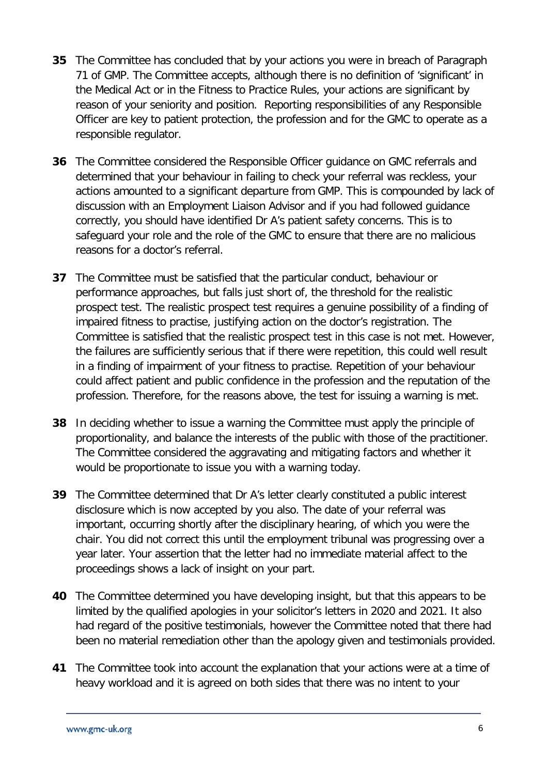- **35** The Committee has concluded that by your actions you were in breach of Paragraph 71 of GMP. The Committee accepts, although there is no definition of 'significant' in the Medical Act or in the Fitness to Practice Rules, your actions are significant by reason of your seniority and position. Reporting responsibilities of any Responsible Officer are key to patient protection, the profession and for the GMC to operate as a responsible regulator.
- **36** The Committee considered the Responsible Officer guidance on GMC referrals and determined that your behaviour in failing to check your referral was reckless, your actions amounted to a significant departure from GMP. This is compounded by lack of discussion with an Employment Liaison Advisor and if you had followed guidance correctly, you should have identified Dr A's patient safety concerns. This is to safeguard your role and the role of the GMC to ensure that there are no malicious reasons for a doctor's referral.
- **37** The Committee must be satisfied that the particular conduct, behaviour or performance approaches, but falls just short of, the threshold for the realistic prospect test. The realistic prospect test requires a genuine possibility of a finding of impaired fitness to practise, justifying action on the doctor's registration. The Committee is satisfied that the realistic prospect test in this case is not met. However, the failures are sufficiently serious that if there were repetition, this could well result in a finding of impairment of your fitness to practise. Repetition of your behaviour could affect patient and public confidence in the profession and the reputation of the profession. Therefore, for the reasons above, the test for issuing a warning is met.
- **38** In deciding whether to issue a warning the Committee must apply the principle of proportionality, and balance the interests of the public with those of the practitioner. The Committee considered the aggravating and mitigating factors and whether it would be proportionate to issue you with a warning today.
- **39** The Committee determined that Dr A's letter clearly constituted a public interest disclosure which is now accepted by you also. The date of your referral was important, occurring shortly after the disciplinary hearing, of which you were the chair. You did not correct this until the employment tribunal was progressing over a year later. Your assertion that the letter had no immediate material affect to the proceedings shows a lack of insight on your part.
- **40** The Committee determined you have developing insight, but that this appears to be limited by the qualified apologies in your solicitor's letters in 2020 and 2021. It also had regard of the positive testimonials, however the Committee noted that there had been no material remediation other than the apology given and testimonials provided.
- **41** The Committee took into account the explanation that your actions were at a time of heavy workload and it is agreed on both sides that there was no intent to your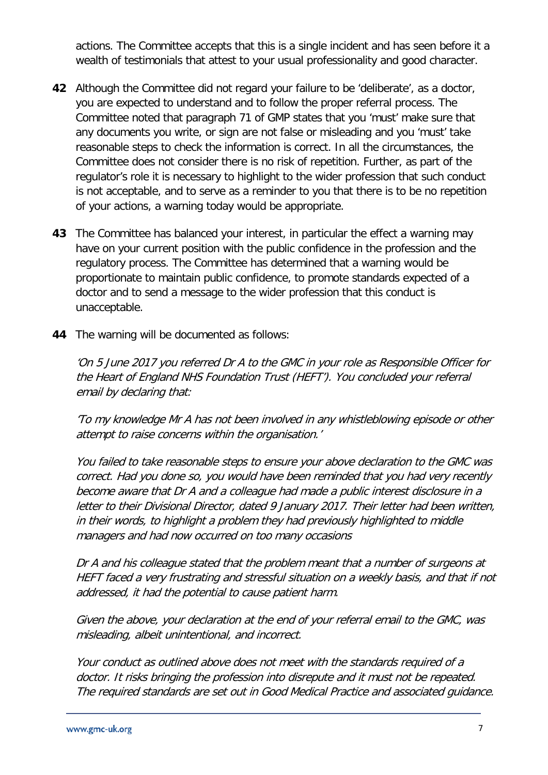actions. The Committee accepts that this is a single incident and has seen before it a wealth of testimonials that attest to your usual professionality and good character.

- **42** Although the Committee did not regard your failure to be 'deliberate', as a doctor, you are expected to understand and to follow the proper referral process. The Committee noted that paragraph 71 of GMP states that you 'must' make sure that any documents you write, or sign are not false or misleading and you 'must' take reasonable steps to check the information is correct. In all the circumstances, the Committee does not consider there is no risk of repetition. Further, as part of the regulator's role it is necessary to highlight to the wider profession that such conduct is not acceptable, and to serve as a reminder to you that there is to be no repetition of your actions, a warning today would be appropriate.
- **43** The Committee has balanced your interest, in particular the effect a warning may have on your current position with the public confidence in the profession and the regulatory process. The Committee has determined that a warning would be proportionate to maintain public confidence, to promote standards expected of a doctor and to send a message to the wider profession that this conduct is unacceptable.
- **44** The warning will be documented as follows:

'On 5 June 2017 you referred Dr A to the GMC in your role as Responsible Officer for the Heart of England NHS Foundation Trust (HEFT'). You concluded your referral email by declaring that:

'To my knowledge Mr A has not been involved in any whistleblowing episode or other attempt to raise concerns within the organisation.'

You failed to take reasonable steps to ensure your above declaration to the GMC was correct. Had you done so, you would have been reminded that you had very recently become aware that Dr A and a colleague had made a public interest disclosure in a letter to their Divisional Director, dated 9 January 2017. Their letter had been written, in their words, to highlight a problem they had previously highlighted to middle managers and had now occurred on too many occasions

Dr A and his colleague stated that the problem meant that a number of surgeons at HEFT faced a very frustrating and stressful situation on a weekly basis, and that if not addressed, it had the potential to cause patient harm.

Given the above, your declaration at the end of your referral email to the GMC, was misleading, albeit unintentional, and incorrect.

Your conduct as outlined above does not meet with the standards required of a doctor. It risks bringing the profession into disrepute and it must not be repeated. The required standards are set out in Good Medical Practice and associated guidance.